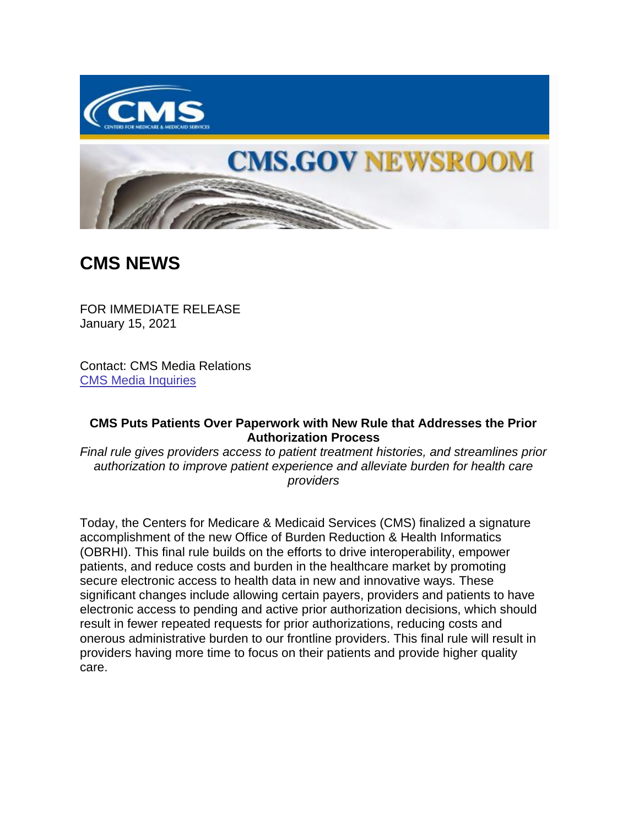

## **CMS.GOV NEWSROOM**

## **CMS NEWS**

FOR IMMEDIATE RELEASE January 15, 2021

Contact: CMS Media Relations [CMS Media Inquiries](https://lnks.gd/l/eyJhbGciOiJIUzI1NiJ9.eyJidWxsZXRpbl9saW5rX2lkIjoxMDAsInVyaSI6ImJwMjpjbGljayIsImJ1bGxldGluX2lkIjoiMjAyMTAxMTUuMzMzNzcwMjEiLCJ1cmwiOiJodHRwczovL3d3dy5jbXMuZ292L25ld3Nyb29tL21lZGlhLWlucXVpcmllcyJ9.iwcQiceFtbKcl8TnTltdg6alR9qFL4JBt7h_VErPzk0/s/1086872215/br/93161855385-l)

## **CMS Puts Patients Over Paperwork with New Rule that Addresses the Prior Authorization Process**

*Final rule gives providers access to patient treatment histories, and streamlines prior authorization to improve patient experience and alleviate burden for health care providers*

Today, the Centers for Medicare & Medicaid Services (CMS) finalized a signature accomplishment of the new Office of Burden Reduction & Health Informatics (OBRHI). This final rule builds on the efforts to drive interoperability, empower patients, and reduce costs and burden in the healthcare market by promoting secure electronic access to health data in new and innovative ways. These significant changes include allowing certain payers, providers and patients to have electronic access to pending and active prior authorization decisions, which should result in fewer repeated requests for prior authorizations, reducing costs and onerous administrative burden to our frontline providers. This final rule will result in providers having more time to focus on their patients and provide higher quality care.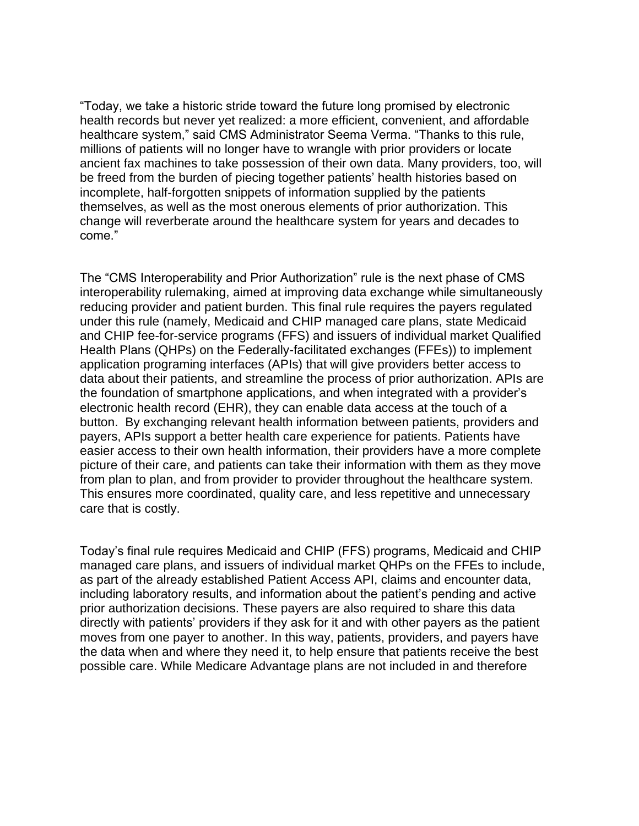"Today, we take a historic stride toward the future long promised by electronic health records but never yet realized: a more efficient, convenient, and affordable healthcare system," said CMS Administrator Seema Verma. "Thanks to this rule, millions of patients will no longer have to wrangle with prior providers or locate ancient fax machines to take possession of their own data. Many providers, too, will be freed from the burden of piecing together patients' health histories based on incomplete, half-forgotten snippets of information supplied by the patients themselves, as well as the most onerous elements of prior authorization. This change will reverberate around the healthcare system for years and decades to come."

The "CMS Interoperability and Prior Authorization" rule is the next phase of CMS interoperability rulemaking, aimed at improving data exchange while simultaneously reducing provider and patient burden. This final rule requires the payers regulated under this rule (namely, Medicaid and CHIP managed care plans, state Medicaid and CHIP fee-for-service programs (FFS) and issuers of individual market Qualified Health Plans (QHPs) on the Federally-facilitated exchanges (FFEs)) to implement application programing interfaces (APIs) that will give providers better access to data about their patients, and streamline the process of prior authorization. APIs are the foundation of smartphone applications, and when integrated with a provider's electronic health record (EHR), they can enable data access at the touch of a button. By exchanging relevant health information between patients, providers and payers, APIs support a better health care experience for patients. Patients have easier access to their own health information, their providers have a more complete picture of their care, and patients can take their information with them as they move from plan to plan, and from provider to provider throughout the healthcare system. This ensures more coordinated, quality care, and less repetitive and unnecessary care that is costly.

Today's final rule requires Medicaid and CHIP (FFS) programs, Medicaid and CHIP managed care plans, and issuers of individual market QHPs on the FFEs to include, as part of the already established Patient Access API, claims and encounter data, including laboratory results, and information about the patient's pending and active prior authorization decisions. These payers are also required to share this data directly with patients' providers if they ask for it and with other payers as the patient moves from one payer to another. In this way, patients, providers, and payers have the data when and where they need it, to help ensure that patients receive the best possible care. While Medicare Advantage plans are not included in and therefore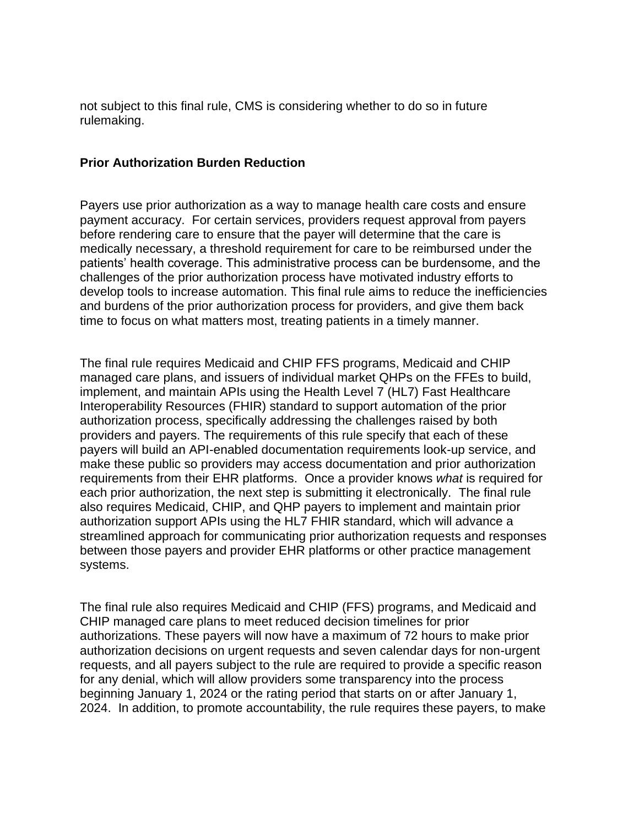not subject to this final rule, CMS is considering whether to do so in future rulemaking.

## **Prior Authorization Burden Reduction**

Payers use prior authorization as a way to manage health care costs and ensure payment accuracy. For certain services, providers request approval from payers before rendering care to ensure that the payer will determine that the care is medically necessary, a threshold requirement for care to be reimbursed under the patients' health coverage. This administrative process can be burdensome, and the challenges of the prior authorization process have motivated industry efforts to develop tools to increase automation. This final rule aims to reduce the inefficiencies and burdens of the prior authorization process for providers, and give them back time to focus on what matters most, treating patients in a timely manner.

The final rule requires Medicaid and CHIP FFS programs, Medicaid and CHIP managed care plans, and issuers of individual market QHPs on the FFEs to build, implement, and maintain APIs using the Health Level 7 (HL7) Fast Healthcare Interoperability Resources (FHIR) standard to support automation of the prior authorization process, specifically addressing the challenges raised by both providers and payers. The requirements of this rule specify that each of these payers will build an API-enabled documentation requirements look-up service, and make these public so providers may access documentation and prior authorization requirements from their EHR platforms. Once a provider knows *what* is required for each prior authorization, the next step is submitting it electronically. The final rule also requires Medicaid, CHIP, and QHP payers to implement and maintain prior authorization support APIs using the HL7 FHIR standard, which will advance a streamlined approach for communicating prior authorization requests and responses between those payers and provider EHR platforms or other practice management systems.

The final rule also requires Medicaid and CHIP (FFS) programs, and Medicaid and CHIP managed care plans to meet reduced decision timelines for prior authorizations. These payers will now have a maximum of 72 hours to make prior authorization decisions on urgent requests and seven calendar days for non-urgent requests, and all payers subject to the rule are required to provide a specific reason for any denial, which will allow providers some transparency into the process beginning January 1, 2024 or the rating period that starts on or after January 1, 2024. In addition, to promote accountability, the rule requires these payers, to make